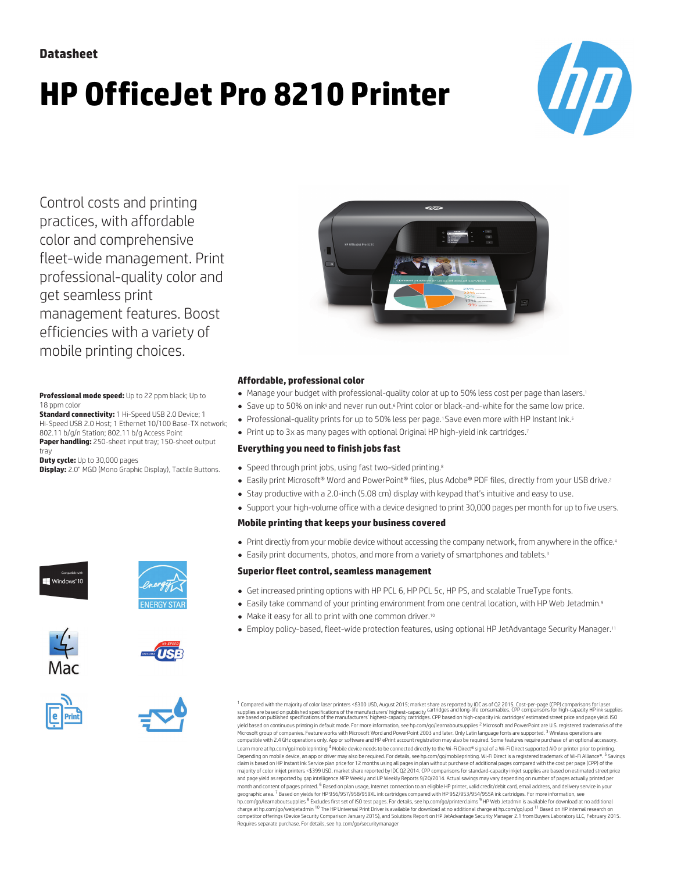# **HP OfficeJet Pro 8210 Printer**



Control costs and printing practices, with affordable color and comprehensive fleet-wide management. Print professional-quality color and get seamless print management features. Boost efficiencies with a variety of mobile printing choices.

**Professional mode speed:** Up to 22 ppm black; Up to 18 ppm color

**Standard connectivity:** 1 Hi-Speed USB 2.0 Device; 1 Hi-Speed USB 2.0 Host; 1 Ethernet 10/100 Base-TX network; 802.11 b/g/n Station; 802.11 b/g Access Point

**Paper handling:** 250-sheet input tray; 150-sheet output tray

**Duty cycle:** Up to 30,000 pages

**Display:** 2.0" MGD (Mono Graphic Display), Tactile Buttons.













### **Affordable, professional color**

- Manage your budget with professional-quality color at up to 50% less cost per page than lasers.<sup>1</sup>
- Save up to 50% on ink<sup>5</sup> and never run out.<sup>6</sup> Print color or black-and-white for the same low price.
- Professional-quality prints for up to 50% less per page.<sup>1</sup> Save even more with HP Instant Ink.<sup>5</sup>
- Print up to 3x as many pages with optional Original HP high-yield ink cartridges.7

# **Everything you need to finish jobs fast**

- Speed through print jobs, using fast two-sided printing.<sup>8</sup>
- Easily print Microsoft® Word and PowerPoint® files, plus Adobe® PDF files, directly from your USB drive.<sup>2</sup>
- Stay productive with a 2.0-inch (5.08 cm) display with keypad that's intuitive and easy to use.
- Support your high-volume office with a device designed to print 30,000 pages per month for up to five users.

#### **Mobile printing that keeps your business covered**

- Print directly from your mobile device without accessing the company network, from anywhere in the office.<sup>4</sup>
- Easily print documents, photos, and more from a variety of smartphones and tablets.<sup>3</sup>

## **Superiorfleet control, seamless management**

- Get increased printing options with HP PCL 6, HP PCL 5c, HP PS, and scalable TrueType fonts.
- Easily take command of your printing environment from one central location, with HP Web Jetadmin.9
- Make it easy for all to print with one common driver.<sup>10</sup>
- Employ policy-based, fleet-wide protection features, using optional HP JetAdvantage Security Manager.<sup>11</sup>

<sup>1</sup> Compared with the majority of color laser printers <\$300 USD, August 2015; market share as reported by IDC as of Q2 2015. Cost-per-page (CPP) comparisons for laser<br>supplies are based on published specifications of the yield based on continuous printing in default mode. For more information, see [hp.com/go/learnaboutsupplie](http://hp.com/go/learnaboutsupplies)s <sup>2</sup> Microsoft and PowerPoint are U.S. registered trademarks of the Microsoft group of companies. Feature works with Microsoft Word and PowerPoint 2003 and later. Only Latin language fonts are supported. <sup>3</sup> Wireless operations are compatible with 2.4 GHz operations only. App or software and HP ePrint account registration may also be required. Some features require purchase of an optional accessory. Learn more at [hp.com/go/mobileprinting](http://hp.com/go/mobileprinting) <sup>4</sup> Mobile device needs to be connected directly to the Wi-Fi Direct® signal of a Wi-Fi Direct supported AiO or printer prior to printing. Depending on mobile device, an app or driver may also be required. For details, see [hp.com/go/mobileprinting](http://hp.com/go/mobileprinting). Wi-Fi Direct is a registered trademark of Wi-Fi Alliance®. <sup>S</sup> Savings claim is based on HP Instant Ink Service plan price for 12 months using all pages in plan without purchase of additional pages compared with the cost per page (CPP) of the<br>majority of color inkjet printers <\$399 USD, marke and page yield as reported by gap intelligence MFP Weekly and IJP Weekly Reports 9/20/2014. Actual savings may vary depending on number of pages actually printed pe month and content of pages printed. <sup>6</sup> Based on plan usage, Internet connection to an eligible HP printer, valid credit/debit card, email address, and delivery service in your<br>geographic area. <sup>7</sup> Based on yields for HP 9 [hp.com/go/learnaboutsupplies](http://hp.com/go/learnaboutsupplies) <sup>8</sup> Excludes first set of ISO test pages. For details, see hp.com/go/printerclaims <sup>9</sup> HP Web Jetadmin is available for download at no additional charge at [hp.com/go/webjetadmin](http://hp.com/go/webjetadmin) <sup>10</sup> The HP Universal Print Driver is available for download at no additional charge at h[p.com/go/upd](http://hp.com/go/upd) <sup>11</sup> Based on HP internal research on<br>competitor offerings (Device Security Comparison J Requires separate purchase. For details, see [hp.com/go/securitymanager](http://hp.com/go/securitymanager)